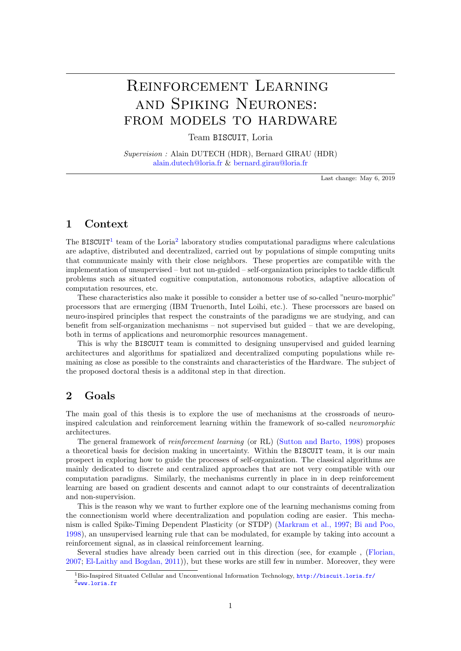# Reinforcement Learning and Spiking Neurones: FROM MODELS TO HARDWARE

Team BISCUIT, Loria

Supervision : Alain DUTECH (HDR), Bernard GIRAU (HDR) [alain.dutech@loria.fr](mailto:alain.dutech@loria.fr) & [bernard.girau@loria.fr](mailto:bernard.girau@loria.fr)

Last change: May 6, 2019

## 1 Context

The BISCUIT<sup>[1](#page-0-0)</sup> team of the Loria<sup>[2](#page-0-1)</sup> laboratory studies computational paradigms where calculations are adaptive, distributed and decentralized, carried out by populations of simple computing units that communicate mainly with their close neighbors. These properties are compatible with the implementation of unsupervised – but not un-guided – self-organization principles to tackle difficult problems such as situated cognitive computation, autonomous robotics, adaptive allocation of computation resources, etc.

These characteristics also make it possible to consider a better use of so-called "neuro-morphic" processors that are ermerging (IBM Truenorth, Intel Loihi, etc.). These processors are based on neuro-inspired principles that respect the constraints of the paradigms we are studying, and can benefit from self-organization mechanisms – not supervised but guided – that we are developing, both in terms of applications and neuromorphic resources management.

This is why the BISCUIT team is committed to designing unsupervised and guided learning architectures and algorithms for spatialized and decentralized computing populations while remaining as close as possible to the constraints and characteristics of the Hardware. The subject of the proposed doctoral thesis is a additonal step in that direction.

## 2 Goals

The main goal of this thesis is to explore the use of mechanisms at the crossroads of neuroinspired calculation and reinforcement learning within the framework of so-called neuromorphic architectures.

The general framework of reinforcement learning (or RL) [\(Sutton and Barto, 1998\)](#page-1-0) proposes a theoretical basis for decision making in uncertainty. Within the BISCUIT team, it is our main prospect in exploring how to guide the processes of self-organization. The classical algorithms are mainly dedicated to discrete and centralized approaches that are not very compatible with our computation paradigms. Similarly, the mechanisms currently in place in in deep reinforcement learning are based on gradient descents and cannot adapt to our constraints of decentralization and non-supervision.

This is the reason why we want to further explore one of the learning mechanisms coming from the connectionism world where decentralization and population coding are easier. This mechanism is called Spike-Timing Dependent Plasticity (or STDP) [\(Markram et al., 1997;](#page-1-1) [Bi and Poo,](#page-1-2) [1998\)](#page-1-2), an unsupervised learning rule that can be modulated, for example by taking into account a reinforcement signal, as in classical reinforcement learning.

Several studies have already been carried out in this direction (see, for example , [\(Florian,](#page-1-3) [2007;](#page-1-3) [El-Laithy and Bogdan, 2011\)](#page-1-4)), but these works are still few in number. Moreover, they were

<span id="page-0-1"></span><span id="page-0-0"></span><sup>1</sup>Bio-Inspired Situated Cellular and Unconventional Information Technology, <http://biscuit.loria.fr/>  $2$ <www.loria.fr>